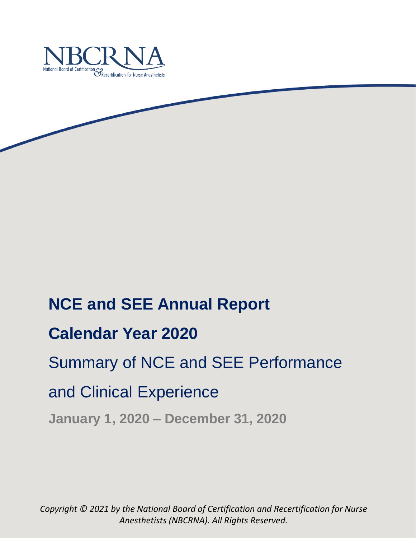

# **NCE and SEE Annual Report**

# **Calendar Year 2020**

# Summary of NCE and SEE Performance

# and Clinical Experience

**January 1, 2020 – December 31, 2020**

*Copyright © 2021 by the National Board of Certification and Recertification for Nurse Anesthetists (NBCRNA). All Rights Reserved.*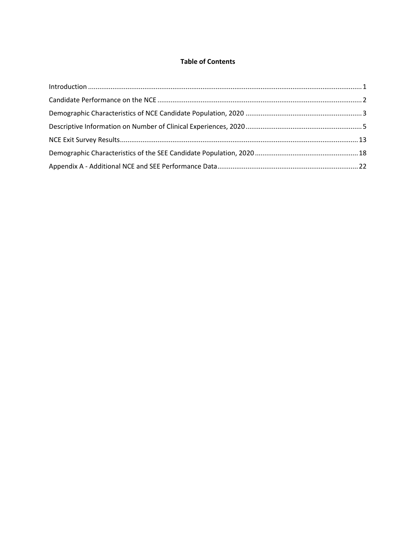## **Table of Contents**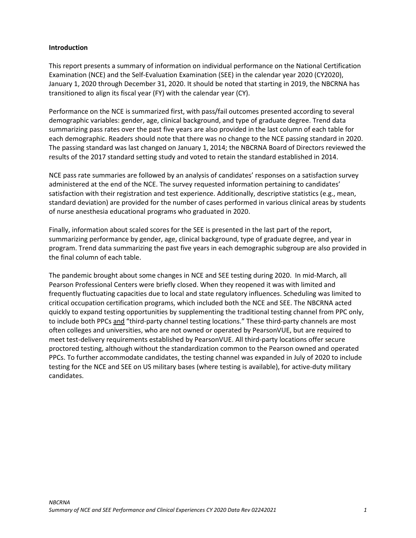### <span id="page-2-0"></span>**Introduction**

This report presents a summary of information on individual performance on the National Certification Examination (NCE) and the Self-Evaluation Examination (SEE) in the calendar year 2020 (CY2020), January 1, 2020 through December 31, 2020. It should be noted that starting in 2019, the NBCRNA has transitioned to align its fiscal year (FY) with the calendar year (CY).

Performance on the NCE is summarized first, with pass/fail outcomes presented according to several demographic variables: gender, age, clinical background, and type of graduate degree. Trend data summarizing pass rates over the past five years are also provided in the last column of each table for each demographic. Readers should note that there was no change to the NCE passing standard in 2020. The passing standard was last changed on January 1, 2014; the NBCRNA Board of Directors reviewed the results of the 2017 standard setting study and voted to retain the standard established in 2014.

NCE pass rate summaries are followed by an analysis of candidates' responses on a satisfaction survey administered at the end of the NCE. The survey requested information pertaining to candidates' satisfaction with their registration and test experience. Additionally, descriptive statistics (e.g., mean, standard deviation) are provided for the number of cases performed in various clinical areas by students of nurse anesthesia educational programs who graduated in 2020.

Finally, information about scaled scores for the SEE is presented in the last part of the report, summarizing performance by gender, age, clinical background, type of graduate degree, and year in program. Trend data summarizing the past five years in each demographic subgroup are also provided in the final column of each table.

The pandemic brought about some changes in NCE and SEE testing during 2020. In mid-March, all Pearson Professional Centers were briefly closed. When they reopened it was with limited and frequently fluctuating capacities due to local and state regulatory influences. Scheduling was limited to critical occupation certification programs, which included both the NCE and SEE. The NBCRNA acted quickly to expand testing opportunities by supplementing the traditional testing channel from PPC only, to include both PPCs and "third-party channel testing locations." These third-party channels are most often colleges and universities, who are not owned or operated by PearsonVUE, but are required to meet test-delivery requirements established by PearsonVUE. All third-party locations offer secure proctored testing, although without the standardization common to the Pearson owned and operated PPCs. To further accommodate candidates, the testing channel was expanded in July of 2020 to include testing for the NCE and SEE on US military bases (where testing is available), for active-duty military candidates.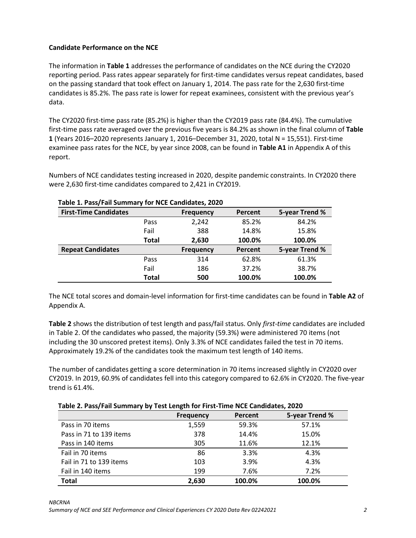## <span id="page-3-0"></span>**Candidate Performance on the NCE**

The information in **Table 1** addresses the performance of candidates on the NCE during the CY2020 reporting period. Pass rates appear separately for first-time candidates versus repeat candidates, based on the passing standard that took effect on January 1, 2014. The pass rate for the 2,630 first-time candidates is 85.2%. The pass rate is lower for repeat examinees, consistent with the previous year's data.

The CY2020 first-time pass rate (85.2%) is higher than the CY2019 pass rate (84.4%). The cumulative first-time pass rate averaged over the previous five years is 84.2% as shown in the final column of **Table 1** (Years 2016–2020 represents January 1, 2016–December 31, 2020, total N = 15,551). First-time examinee pass rates for the NCE, by year since 2008, can be found in **Table A1** in Appendix A of this report.

Numbers of NCE candidates testing increased in 2020, despite pandemic constraints. In CY2020 there were 2,630 first-time candidates compared to 2,421 in CY2019.

| <b>First-Time Candidates</b> |              | <b>Frequency</b> | Percent | 5-year Trend % |  |  |  |
|------------------------------|--------------|------------------|---------|----------------|--|--|--|
|                              | Pass         | 2,242            | 85.2%   | 84.2%          |  |  |  |
|                              | Fail         | 388              | 14.8%   | 15.8%          |  |  |  |
|                              | <b>Total</b> | 2,630            | 100.0%  | 100.0%         |  |  |  |
| <b>Repeat Candidates</b>     |              | <b>Frequency</b> | Percent | 5-year Trend % |  |  |  |
|                              | Pass         | 314              | 62.8%   | 61.3%          |  |  |  |
|                              | Fail         | 186              | 37.2%   | 38.7%          |  |  |  |
|                              | <b>Total</b> | 500              | 100.0%  | 100.0%         |  |  |  |

### **Table 1. Pass/Fail Summary for NCE Candidates, 2020**

The NCE total scores and domain-level information for first-time candidates can be found in **Table A2** of Appendix A.

**Table 2** shows the distribution of test length and pass/fail status. Only *first-time* candidates are included in Table 2. Of the candidates who passed, the majority (59.3%) were administered 70 items (not including the 30 unscored pretest items). Only 3.3% of NCE candidates failed the test in 70 items. Approximately 19.2% of the candidates took the maximum test length of 140 items.

The number of candidates getting a score determination in 70 items increased slightly in CY2020 over CY2019. In 2019, 60.9% of candidates fell into this category compared to 62.6% in CY2020. The five-year trend is 61.4%.

## **Table 2. Pass/Fail Summary by Test Length for First-Time NCE Candidates, 2020**

<span id="page-3-1"></span>

|                         | Frequency | Percent | 5-year Trend % |  |  |  |  |  |
|-------------------------|-----------|---------|----------------|--|--|--|--|--|
| Pass in 70 items        | 1,559     | 59.3%   | 57.1%          |  |  |  |  |  |
| Pass in 71 to 139 items | 378       | 14.4%   | 15.0%          |  |  |  |  |  |
| Pass in 140 items       | 305       | 11.6%   | 12.1%          |  |  |  |  |  |
| Fail in 70 items        | 86        | 3.3%    | 4.3%           |  |  |  |  |  |
| Fail in 71 to 139 items | 103       | 3.9%    | 4.3%           |  |  |  |  |  |
| Fail in 140 items       | 199       | 7.6%    | 7.2%           |  |  |  |  |  |
| <b>Total</b>            | 2,630     | 100.0%  | 100.0%         |  |  |  |  |  |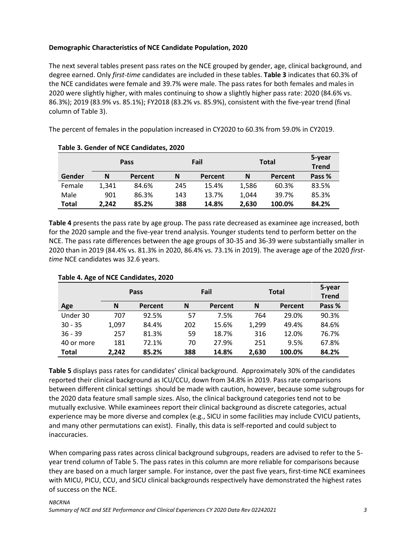## **Demographic Characteristics of NCE Candidate Population, 2020**

The next several tables present pass rates on the NCE grouped by gender, age, clinical background, and degree earned. Only *first-time* candidates are included in these tables. **Table 3** indicates that 60.3% of the NCE candidates were female and 39.7% were male. The pass rates for both females and males in 2020 were slightly higher, with males continuing to show a slightly higher pass rate: 2020 (84.6% vs. 86.3%); 2019 (83.9% vs. 85.1%); FY2018 (83.2% vs. 85.9%), consistent with the five-year trend (final column of Table 3).

The percent of females in the population increased in CY2020 to 60.3% from 59.0% in CY2019.

|        |       | Pass    | Fail |         |       | <b>Total</b> | 5-year<br><b>Trend</b> |
|--------|-------|---------|------|---------|-------|--------------|------------------------|
| Gender | N     | Percent | N    | Percent | N     | Percent      | Pass %                 |
| Female | 1.341 | 84.6%   | 245  | 15.4%   | 1.586 | 60.3%        | 83.5%                  |
| Male   | 901   | 86.3%   | 143  | 13.7%   | 1.044 | 39.7%        | 85.3%                  |
| Total  | 2.242 | 85.2%   | 388  | 14.8%   | 2.630 | 100.0%       | 84.2%                  |

|  | Table 3. Gender of NCE Candidates, 2020 |  |
|--|-----------------------------------------|--|
|  |                                         |  |

**Table 4** presents the pass rate by age group. The pass rate decreased as examinee age increased, both for the 2020 sample and the five-year trend analysis. Younger students tend to perform better on the NCE. The pass rate differences between the age groups of 30-35 and 36-39 were substantially smaller in 2020 than in 2019 (84.4% vs. 81.3% in 2020, 86.4% vs. 73.1% in 2019). The average age of the 2020 *firsttime* NCE candidates was 32.6 years.

|              |       | <b>Pass</b> |     | Fail    |       |         | <b>Total</b> | 5-year<br><b>Trend</b> |
|--------------|-------|-------------|-----|---------|-------|---------|--------------|------------------------|
| Age          | N     | Percent     | N   | Percent | N     | Percent | Pass %       |                        |
| Under 30     | 707   | 92.5%       | 57  | 7.5%    | 764   | 29.0%   | 90.3%        |                        |
| $30 - 35$    | 1,097 | 84.4%       | 202 | 15.6%   | 1,299 | 49.4%   | 84.6%        |                        |
| $36 - 39$    | 257   | 81.3%       | 59  | 18.7%   | 316   | 12.0%   | 76.7%        |                        |
| 40 or more   | 181   | 72.1%       | 70  | 27.9%   | 251   | 9.5%    | 67.8%        |                        |
| <b>Total</b> | 2.242 | 85.2%       | 388 | 14.8%   | 2,630 | 100.0%  | 84.2%        |                        |

## **Table 4. Age of NCE Candidates, 2020**

**Table 5** displays pass rates for candidates' clinical background. Approximately 30% of the candidates reported their clinical background as ICU/CCU, down from 34.8% in 2019. Pass rate comparisons between different clinical settings should be made with caution, however, because some subgroups for the 2020 data feature small sample sizes. Also, the clinical background categories tend not to be mutually exclusive. While examinees report their clinical background as discrete categories, actual experience may be more diverse and complex (e.g., SICU in some facilities may include CVICU patients, and many other permutations can exist). Finally, this data is self-reported and could subject to inaccuracies.

When comparing pass rates across clinical background subgroups, readers are advised to refer to the 5 year trend column of Table 5. The pass rates in this column are more reliable for comparisons because they are based on a much larger sample. For instance, over the past five years, first-time NCE examinees with MICU, PICU, CCU, and SICU clinical backgrounds respectively have demonstrated the highest rates of success on the NCE.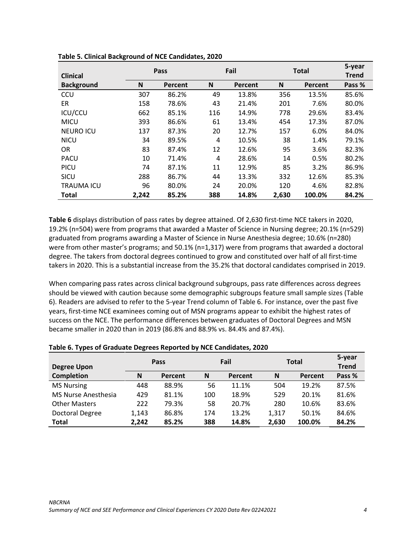|                   |       | Pass    |     | Fail    |       | <b>Total</b> | 5-year       |
|-------------------|-------|---------|-----|---------|-------|--------------|--------------|
| <b>Clinical</b>   |       |         |     |         |       |              | <b>Trend</b> |
| <b>Background</b> | N     | Percent | N   | Percent | N     | Percent      | Pass %       |
| <b>CCU</b>        | 307   | 86.2%   | 49  | 13.8%   | 356   | 13.5%        | 85.6%        |
| ER.               | 158   | 78.6%   | 43  | 21.4%   | 201   | 7.6%         | 80.0%        |
| ICU/CCU           | 662   | 85.1%   | 116 | 14.9%   | 778   | 29.6%        | 83.4%        |
| <b>MICU</b>       | 393   | 86.6%   | 61  | 13.4%   | 454   | 17.3%        | 87.0%        |
| <b>NEURO ICU</b>  | 137   | 87.3%   | 20  | 12.7%   | 157   | 6.0%         | 84.0%        |
| <b>NICU</b>       | 34    | 89.5%   | 4   | 10.5%   | 38    | 1.4%         | 79.1%        |
| 0R                | 83    | 87.4%   | 12  | 12.6%   | 95    | 3.6%         | 82.3%        |
| <b>PACU</b>       | 10    | 71.4%   | 4   | 28.6%   | 14    | 0.5%         | 80.2%        |
| <b>PICU</b>       | 74    | 87.1%   | 11  | 12.9%   | 85    | 3.2%         | 86.9%        |
| <b>SICU</b>       | 288   | 86.7%   | 44  | 13.3%   | 332   | 12.6%        | 85.3%        |
| <b>TRAUMA ICU</b> | 96    | 80.0%   | 24  | 20.0%   | 120   | 4.6%         | 82.8%        |
| Total             | 2,242 | 85.2%   | 388 | 14.8%   | 2,630 | 100.0%       | 84.2%        |

**Table 5. Clinical Background of NCE Candidates, 2020**

**Table 6** displays distribution of pass rates by degree attained. Of 2,630 first-time NCE takers in 2020, 19.2% (n=504) were from programs that awarded a Master of Science in Nursing degree; 20.1% (n=529) graduated from programs awarding a Master of Science in Nurse Anesthesia degree; 10.6% (n=280) were from other master's programs; and 50.1% (n=1,317) were from programs that awarded a doctoral degree. The takers from doctoral degrees continued to grow and constituted over half of all first-time takers in 2020. This is a substantial increase from the 35.2% that doctoral candidates comprised in 2019.

When comparing pass rates across clinical background subgroups, pass rate differences across degrees should be viewed with caution because some demographic subgroups feature small sample sizes (Table 6). Readers are advised to refer to the 5-year Trend column of Table 6. For instance, over the past five years, first-time NCE examinees coming out of MSN programs appear to exhibit the highest rates of success on the NCE. The performance differences between graduates of Doctoral Degrees and MSN became smaller in 2020 than in 2019 (86.8% and 88.9% vs. 84.4% and 87.4%).

<span id="page-5-0"></span>

|                            |       | Pass    |     | Fail    |       | Total   | 5-year       |
|----------------------------|-------|---------|-----|---------|-------|---------|--------------|
| <b>Degree Upon</b>         |       |         |     |         |       |         | <b>Trend</b> |
| <b>Completion</b>          | N     | Percent | N   | Percent | N     | Percent | Pass %       |
| <b>MS Nursing</b>          | 448   | 88.9%   | 56  | 11.1%   | 504   | 19.2%   | 87.5%        |
| <b>MS Nurse Anesthesia</b> | 429   | 81.1%   | 100 | 18.9%   | 529   | 20.1%   | 81.6%        |
| <b>Other Masters</b>       | 222   | 79.3%   | 58  | 20.7%   | 280   | 10.6%   | 83.6%        |
| Doctoral Degree            | 1,143 | 86.8%   | 174 | 13.2%   | 1,317 | 50.1%   | 84.6%        |
| <b>Total</b>               | 2,242 | 85.2%   | 388 | 14.8%   | 2,630 | 100.0%  | 84.2%        |

## **Table 6. Types of Graduate Degrees Reported by NCE Candidates, 2020**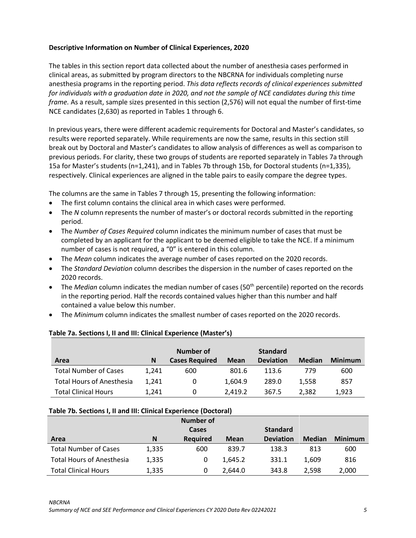## **Descriptive Information on Number of Clinical Experiences, 2020**

The tables in this section report data collected about the number of anesthesia cases performed in clinical areas, as submitted by program directors to the NBCRNA for individuals completing nurse anesthesia programs in the reporting period. *This data reflects records of clinical experiences submitted for individuals with a graduation date in 2020, and not the sample of NCE candidates during this time frame.* As a result, sample sizes presented in this section (2,576) will not equal the number of first-time NCE candidates (2,630) as reported in Tables 1 through 6.

In previous years, there were different academic requirements for Doctoral and Master's candidates, so results were reported separately. While requirements are now the same, results in this section still break out by Doctoral and Master's candidates to allow analysis of differences as well as comparison to previous periods. For clarity, these two groups of students are reported separately in Tables 7a through 15a for Master's students (n=1,241), and in Tables 7b through 15b, for Doctoral students (n=1,335), respectively. Clinical experiences are aligned in the table pairs to easily compare the degree types.

The columns are the same in Tables 7 through 15, presenting the following information:

- The first column contains the clinical area in which cases were performed.
- The *N* column represents the number of master's or doctoral records submitted in the reporting period.
- The *Number of Cases Required* column indicates the minimum number of cases that must be completed by an applicant for the applicant to be deemed eligible to take the NCE. If a minimum number of cases is not required, a "0" is entered in this column.
- The *Mean* column indicates the average number of cases reported on the 2020 records.
- The *Standard Deviation* column describes the dispersion in the number of cases reported on the 2020 records.
- The *Median* column indicates the median number of cases (50<sup>th</sup> percentile) reported on the records in the reporting period. Half the records contained values higher than this number and half contained a value below this number.
- The *Minimum* column indicates the smallest number of cases reported on the 2020 records.

|                                  |       | Number of             |             | <b>Standard</b>  |               |                |
|----------------------------------|-------|-----------------------|-------------|------------------|---------------|----------------|
| Area                             | N     | <b>Cases Required</b> | <b>Mean</b> | <b>Deviation</b> | <b>Median</b> | <b>Minimum</b> |
| <b>Total Number of Cases</b>     | 1.241 | 600                   | 801.6       | 113.6            | 779           | 600            |
| <b>Total Hours of Anesthesia</b> | 1.241 | 0                     | 1,604.9     | 289.0            | 1.558         | 857            |
| <b>Total Clinical Hours</b>      | 1,241 | 0                     | 2.419.2     | 367.5            | 2.382         | 1,923          |

## **Table 7a. Sections I, II and III: Clinical Experience (Master's)**

#### **Table 7b. Sections I, II and III: Clinical Experience (Doctoral)**

|                                  |       | Number of       |             |                  |               |                |
|----------------------------------|-------|-----------------|-------------|------------------|---------------|----------------|
|                                  |       | Cases           |             | <b>Standard</b>  |               |                |
| Area                             | N     | <b>Required</b> | <b>Mean</b> | <b>Deviation</b> | <b>Median</b> | <b>Minimum</b> |
| <b>Total Number of Cases</b>     | 1,335 | 600             | 839.7       | 138.3            | 813           | 600            |
| <b>Total Hours of Anesthesia</b> | 1,335 | 0               | 1.645.2     | 331.1            | 1.609         | 816            |
| <b>Total Clinical Hours</b>      | 1,335 | 0               | 2,644.0     | 343.8            | 2.598         | 2,000          |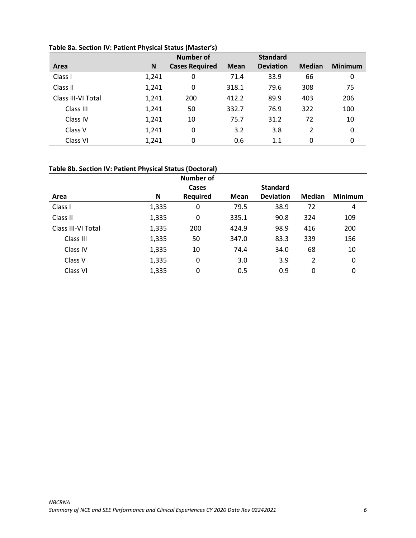|                    |       | <b>Number of</b>      |             | <b>Standard</b>  |               |                |
|--------------------|-------|-----------------------|-------------|------------------|---------------|----------------|
| Area               | N     | <b>Cases Required</b> | <b>Mean</b> | <b>Deviation</b> | <b>Median</b> | <b>Minimum</b> |
| Class I            | 1,241 | 0                     | 71.4        | 33.9             | 66            | 0              |
| Class II           | 1,241 | 0                     | 318.1       | 79.6             | 308           | 75             |
| Class III-VI Total | 1,241 | 200                   | 412.2       | 89.9             | 403           | 206            |
| Class III          | 1,241 | 50                    | 332.7       | 76.9             | 322           | 100            |
| Class IV           | 1,241 | 10                    | 75.7        | 31.2             | 72            | 10             |
| Class V            | 1,241 | 0                     | 3.2         | 3.8              | 2             | 0              |
| Class VI           | 1,241 | 0                     | 0.6         | 1.1              | 0             | 0              |

## **Table 8a. Section IV: Patient Physical Status (Master's)**

# **Table 8b. Section IV: Patient Physical Status (Doctoral)**

|                    |       | Number of       |             |                  |               |                |
|--------------------|-------|-----------------|-------------|------------------|---------------|----------------|
|                    |       | Cases           |             | <b>Standard</b>  |               |                |
| Area               | N     | <b>Required</b> | <b>Mean</b> | <b>Deviation</b> | <b>Median</b> | <b>Minimum</b> |
| Class I            | 1,335 | 0               | 79.5        | 38.9             | 72            | 4              |
| Class II           | 1,335 | 0               | 335.1       | 90.8             | 324           | 109            |
| Class III-VI Total | 1,335 | 200             | 424.9       | 98.9             | 416           | 200            |
| Class III          | 1,335 | 50              | 347.0       | 83.3             | 339           | 156            |
| Class IV           | 1,335 | 10              | 74.4        | 34.0             | 68            | 10             |
| Class V            | 1,335 | 0               | 3.0         | 3.9              | 2             | 0              |
| Class VI           | 1,335 | 0               | 0.5         | 0.9              | 0             | 0              |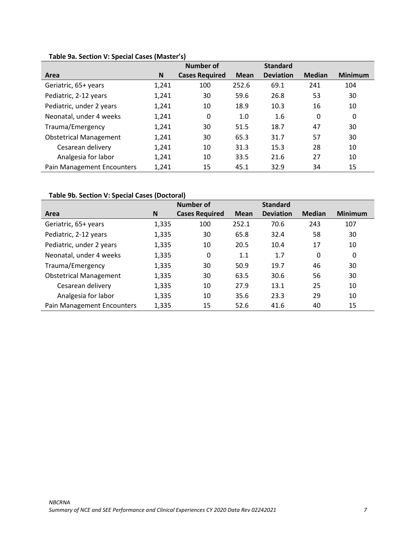|                               |       | <b>Number of</b>      |             | <b>Standard</b>  |               |                |
|-------------------------------|-------|-----------------------|-------------|------------------|---------------|----------------|
| Area                          | N     | <b>Cases Required</b> | <b>Mean</b> | <b>Deviation</b> | <b>Median</b> | <b>Minimum</b> |
| Geriatric, 65+ years          | 1,241 | 100                   | 252.6       | 69.1             | 241           | 104            |
| Pediatric, 2-12 years         | 1,241 | 30                    | 59.6        | 26.8             | 53            | 30             |
| Pediatric, under 2 years      | 1,241 | 10                    | 18.9        | 10.3             | 16            | 10             |
| Neonatal, under 4 weeks       | 1,241 | 0                     | 1.0         | 1.6              | 0             | 0              |
| Trauma/Emergency              | 1,241 | 30                    | 51.5        | 18.7             | 47            | 30             |
| <b>Obstetrical Management</b> | 1,241 | 30                    | 65.3        | 31.7             | 57            | 30             |
| Cesarean delivery             | 1,241 | 10                    | 31.3        | 15.3             | 28            | 10             |
| Analgesia for labor           | 1,241 | 10                    | 33.5        | 21.6             | 27            | 10             |
| Pain Management Encounters    | 1,241 | 15                    | 45.1        | 32.9             | 34            | 15             |

# **Table 9a. Section V: Special Cases (Master's)**

# **Table 9b. Section V: Special Cases (Doctoral)**

|                               |       | Number of             |             | <b>Standard</b>  |               |                |
|-------------------------------|-------|-----------------------|-------------|------------------|---------------|----------------|
| Area                          | N     | <b>Cases Required</b> | <b>Mean</b> | <b>Deviation</b> | <b>Median</b> | <b>Minimum</b> |
| Geriatric, 65+ years          | 1,335 | 100                   | 252.1       | 70.6             | 243           | 107            |
| Pediatric, 2-12 years         | 1,335 | 30                    | 65.8        | 32.4             | 58            | 30             |
| Pediatric, under 2 years      | 1,335 | 10                    | 20.5        | 10.4             | 17            | 10             |
| Neonatal, under 4 weeks       | 1,335 | 0                     | 1.1         | 1.7              | 0             | 0              |
| Trauma/Emergency              | 1,335 | 30                    | 50.9        | 19.7             | 46            | 30             |
| <b>Obstetrical Management</b> | 1,335 | 30                    | 63.5        | 30.6             | 56            | 30             |
| Cesarean delivery             | 1,335 | 10                    | 27.9        | 13.1             | 25            | 10             |
| Analgesia for labor           | 1,335 | 10                    | 35.6        | 23.3             | 29            | 10             |
| Pain Management Encounters    | 1,335 | 15                    | 52.6        | 41.6             | 40            | 15             |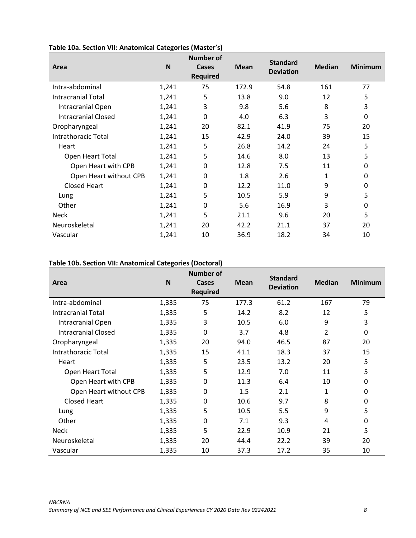| Area                       | N     | <b>Number of</b><br><b>Cases</b><br><b>Required</b> | <b>Mean</b> | <b>Standard</b><br><b>Deviation</b> | <b>Median</b> | <b>Minimum</b> |
|----------------------------|-------|-----------------------------------------------------|-------------|-------------------------------------|---------------|----------------|
| Intra-abdominal            | 1,241 | 75                                                  | 172.9       | 54.8                                | 161           | 77             |
| <b>Intracranial Total</b>  | 1,241 | 5                                                   | 13.8        | 9.0                                 | 12            | 5              |
| Intracranial Open          | 1,241 | 3                                                   | 9.8         | 5.6                                 | 8             | 3              |
| <b>Intracranial Closed</b> | 1,241 | $\mathbf{0}$                                        | 4.0         | 6.3                                 | 3             | 0              |
| Oropharyngeal              | 1,241 | 20                                                  | 82.1        | 41.9                                | 75            | 20             |
| <b>Intrathoracic Total</b> | 1,241 | 15                                                  | 42.9        | 24.0                                | 39            | 15             |
| Heart                      | 1,241 | 5                                                   | 26.8        | 14.2                                | 24            | 5              |
| Open Heart Total           | 1,241 | 5                                                   | 14.6        | 8.0                                 | 13            | 5              |
| Open Heart with CPB        | 1,241 | 0                                                   | 12.8        | 7.5                                 | 11            | 0              |
| Open Heart without CPB     | 1,241 | 0                                                   | 1.8         | 2.6                                 | 1             | 0              |
| <b>Closed Heart</b>        | 1,241 | 0                                                   | 12.2        | 11.0                                | 9             | 0              |
| Lung                       | 1,241 | 5                                                   | 10.5        | 5.9                                 | 9             | 5              |
| Other                      | 1,241 | 0                                                   | 5.6         | 16.9                                | 3             | 0              |
| <b>Neck</b>                | 1,241 | 5                                                   | 21.1        | 9.6                                 | 20            | 5              |
| Neuroskeletal              | 1,241 | 20                                                  | 42.2        | 21.1                                | 37            | 20             |
| Vascular                   | 1,241 | 10                                                  | 36.9        | 18.2                                | 34            | 10             |

# **Table 10a. Section VII: Anatomical Categories (Master's)**

### **Table 10b. Section VII: Anatomical Categories (Doctoral)**

| Area                      | N     | <b>Number of</b><br>Cases<br><b>Required</b> | <b>Mean</b> | <b>Standard</b><br><b>Deviation</b> | <b>Median</b> | <b>Minimum</b> |
|---------------------------|-------|----------------------------------------------|-------------|-------------------------------------|---------------|----------------|
| Intra-abdominal           | 1,335 | 75                                           | 177.3       | 61.2                                | 167           | 79             |
| <b>Intracranial Total</b> | 1,335 | 5                                            | 14.2        | 8.2                                 | 12            | 5              |
| Intracranial Open         | 1,335 | 3                                            | 10.5        | 6.0                                 | 9             | 3              |
| Intracranial Closed       | 1,335 | $\mathbf{0}$                                 | 3.7         | 4.8                                 | 2             | 0              |
| Oropharyngeal             | 1,335 | 20                                           | 94.0        | 46.5                                | 87            | 20             |
| Intrathoracic Total       | 1,335 | 15                                           | 41.1        | 18.3                                | 37            | 15             |
| Heart                     | 1,335 | 5                                            | 23.5        | 13.2                                | 20            | 5              |
| Open Heart Total          | 1,335 | 5                                            | 12.9        | 7.0                                 | 11            | 5              |
| Open Heart with CPB       | 1,335 | 0                                            | 11.3        | 6.4                                 | 10            | 0              |
| Open Heart without CPB    | 1,335 | 0                                            | 1.5         | 2.1                                 | 1             | 0              |
| <b>Closed Heart</b>       | 1,335 | 0                                            | 10.6        | 9.7                                 | 8             | 0              |
| Lung                      | 1,335 | 5                                            | 10.5        | 5.5                                 | 9             | 5              |
| Other                     | 1,335 | 0                                            | 7.1         | 9.3                                 | 4             | 0              |
| <b>Neck</b>               | 1,335 | 5                                            | 22.9        | 10.9                                | 21            | 5              |
| Neuroskeletal             | 1,335 | 20                                           | 44.4        | 22.2                                | 39            | 20             |
| Vascular                  | 1,335 | 10                                           | 37.3        | 17.2                                | 35            | 10             |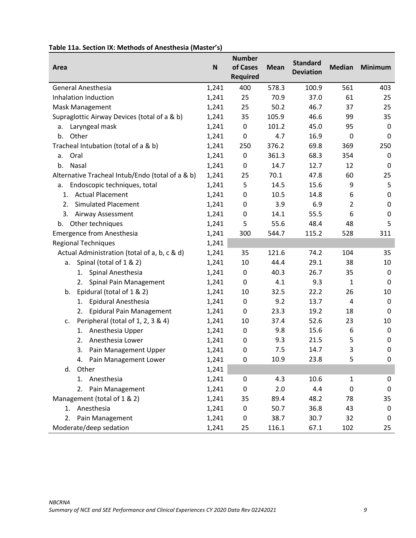| Area                                             | N     | <b>Number</b><br>of Cases<br><b>Required</b> | <b>Mean</b> | <b>Standard</b><br><b>Deviation</b> | <b>Median</b> | <b>Minimum</b> |
|--------------------------------------------------|-------|----------------------------------------------|-------------|-------------------------------------|---------------|----------------|
| <b>General Anesthesia</b>                        | 1,241 | 400                                          | 578.3       | 100.9                               | 561           | 403            |
| Inhalation Induction                             | 1,241 | 25                                           | 70.9        | 37.0                                | 61            | 25             |
| Mask Management                                  | 1,241 | 25                                           | 50.2        | 46.7                                | 37            | 25             |
| Supraglottic Airway Devices (total of a & b)     | 1,241 | 35                                           | 105.9       | 46.6                                | 99            | 35             |
| Laryngeal mask<br>a.                             | 1,241 | $\mathbf 0$                                  | 101.2       | 45.0                                | 95            | $\mathbf 0$    |
| Other<br>b.                                      | 1,241 | 0                                            | 4.7         | 16.9                                | 0             | 0              |
| Tracheal Intubation (total of a & b)             | 1,241 | 250                                          | 376.2       | 69.8                                | 369           | 250            |
| Oral<br>a.                                       | 1,241 | 0                                            | 361.3       | 68.3                                | 354           | 0              |
| b.<br>Nasal                                      | 1,241 | 0                                            | 14.7        | 12.7                                | 12            | 0              |
| Alternative Tracheal Intub/Endo (total of a & b) | 1,241 | 25                                           | 70.1        | 47.8                                | 60            | 25             |
| Endoscopic techniques, total<br>a.               | 1,241 | 5                                            | 14.5        | 15.6                                | 9             | 5              |
| <b>Actual Placement</b><br>1.                    | 1,241 | 0                                            | 10.5        | 14.8                                | 6             | 0              |
| <b>Simulated Placement</b><br>2.                 | 1,241 | 0                                            | 3.9         | 6.9                                 | 2             | 0              |
| 3.<br>Airway Assessment                          | 1,241 | 0                                            | 14.1        | 55.5                                | 6             | 0              |
| Other techniques<br>b.                           | 1,241 | 5                                            | 55.6        | 48.4                                | 48            | 5              |
| <b>Emergence from Anesthesia</b>                 | 1,241 | 300                                          | 544.7       | 115.2                               | 528           | 311            |
| <b>Regional Techniques</b>                       | 1,241 |                                              |             |                                     |               |                |
| Actual Administration (total of a, b, c & d)     | 1,241 | 35                                           | 121.6       | 74.2                                | 104           | 35             |
| Spinal (total of 1 & 2)<br>а.                    | 1,241 | 10                                           | 44.4        | 29.1                                | 38            | 10             |
| Spinal Anesthesia<br>1.                          | 1,241 | 0                                            | 40.3        | 26.7                                | 35            | $\mathbf 0$    |
| Spinal Pain Management<br>2.                     | 1,241 | 0                                            | 4.1         | 9.3                                 | 1             | 0              |
| Epidural (total of 1 & 2)<br>b.                  | 1,241 | 10                                           | 32.5        | 22.2                                | 26            | 10             |
| Epidural Anesthesia<br>1.                        | 1,241 | 0                                            | 9.2         | 13.7                                | 4             | 0              |
| Epidural Pain Management<br>2.                   | 1,241 | 0                                            | 23.3        | 19.2                                | 18            | 0              |
| Peripheral (total of 1, 2, 3 & 4)<br>c.          | 1,241 | 10                                           | 37.4        | 52.6                                | 23            | 10             |
| Anesthesia Upper<br>1.                           | 1,241 | 0                                            | 9.8         | 15.6                                | 6             | 0              |
| Anesthesia Lower<br>2.                           | 1,241 | 0                                            | 9.3         | 21.5                                | 5             | $\mathbf 0$    |
| 3.<br>Pain Management Upper                      | 1,241 | $\boldsymbol{0}$                             | 7.5         | 14.7                                | 3             | 0              |
| 4. Pain Management Lower                         | 1,241 | 0                                            | 10.9        | 23.8                                | 5             | 0              |
| Other<br>d.                                      | 1,241 |                                              |             |                                     |               |                |
| Anesthesia<br>1.                                 | 1,241 | 0                                            | 4.3         | 10.6                                | 1             | 0              |
| Pain Management<br>2.                            | 1,241 | 0                                            | 2.0         | 4.4                                 | 0             | $\mathbf 0$    |
| Management (total of 1 & 2)                      | 1,241 | 35                                           | 89.4        | 48.2                                | 78            | 35             |
| Anesthesia<br>1.                                 | 1,241 | 0                                            | 50.7        | 36.8                                | 43            | 0              |
| Pain Management<br>2.                            | 1,241 | 0                                            | 38.7        | 30.7                                | 32            | $\mathbf 0$    |
| Moderate/deep sedation                           | 1,241 | 25                                           | 116.1       | 67.1                                | 102           | 25             |

# **Table 11a. Section IX: Methods of Anesthesia (Master's)**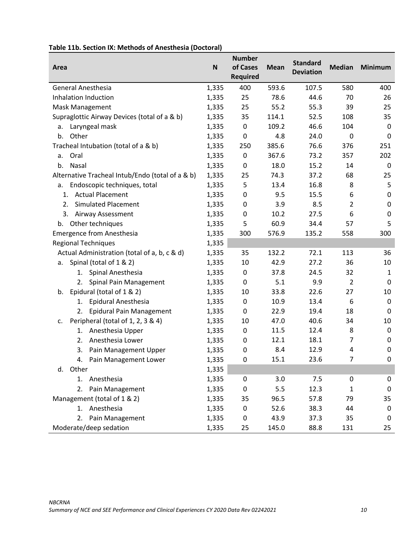| Area                                             | N     | <b>Number</b><br>of Cases<br><b>Required</b> | <b>Mean</b> | <b>Standard</b><br><b>Deviation</b> | <b>Median</b>  | <b>Minimum</b> |
|--------------------------------------------------|-------|----------------------------------------------|-------------|-------------------------------------|----------------|----------------|
| <b>General Anesthesia</b>                        | 1,335 | 400                                          | 593.6       | 107.5                               | 580            | 400            |
| Inhalation Induction                             | 1,335 | 25                                           | 78.6        | 44.6                                | 70             | 26             |
| Mask Management                                  | 1,335 | 25                                           | 55.2        | 55.3                                | 39             | 25             |
| Supraglottic Airway Devices (total of a & b)     | 1,335 | 35                                           | 114.1       | 52.5                                | 108            | 35             |
| Laryngeal mask<br>a.                             | 1,335 | 0                                            | 109.2       | 46.6                                | 104            | 0              |
| Other<br>b.                                      | 1,335 | 0                                            | 4.8         | 24.0                                | 0              | $\Omega$       |
| Tracheal Intubation (total of a & b)             | 1,335 | 250                                          | 385.6       | 76.6                                | 376            | 251            |
| Oral<br>a.                                       | 1,335 | 0                                            | 367.6       | 73.2                                | 357            | 202            |
| b.<br>Nasal                                      | 1,335 | 0                                            | 18.0        | 15.2                                | 14             | $\mathbf 0$    |
| Alternative Tracheal Intub/Endo (total of a & b) | 1,335 | 25                                           | 74.3        | 37.2                                | 68             | 25             |
| Endoscopic techniques, total<br>a.               | 1,335 | 5                                            | 13.4        | 16.8                                | 8              | 5              |
| <b>Actual Placement</b><br>1.                    | 1,335 | 0                                            | 9.5         | 15.5                                | 6              | 0              |
| <b>Simulated Placement</b><br>2.                 | 1,335 | 0                                            | 3.9         | 8.5                                 | $\overline{2}$ | $\mathbf 0$    |
| 3.<br>Airway Assessment                          | 1,335 | 0                                            | 10.2        | 27.5                                | 6              | 0              |
| Other techniques<br>b.                           | 1,335 | 5                                            | 60.9        | 34.4                                | 57             | 5              |
| <b>Emergence from Anesthesia</b>                 | 1,335 | 300                                          | 576.9       | 135.2                               | 558            | 300            |
| <b>Regional Techniques</b>                       | 1,335 |                                              |             |                                     |                |                |
| Actual Administration (total of a, b, c & d)     | 1,335 | 35                                           | 132.2       | 72.1                                | 113            | 36             |
| Spinal (total of 1 & 2)<br>а.                    | 1,335 | 10                                           | 42.9        | 27.2                                | 36             | 10             |
| Spinal Anesthesia<br>1.                          | 1,335 | 0                                            | 37.8        | 24.5                                | 32             | 1              |
| Spinal Pain Management<br>2.                     | 1,335 | 0                                            | 5.1         | 9.9                                 | $\overline{2}$ | $\mathbf 0$    |
| Epidural (total of 1 & 2)<br>b.                  | 1,335 | 10                                           | 33.8        | 22.6                                | 27             | 10             |
| Epidural Anesthesia<br>1.                        | 1,335 | 0                                            | 10.9        | 13.4                                | 6              | 0              |
| <b>Epidural Pain Management</b><br>2.            | 1,335 | 0                                            | 22.9        | 19.4                                | 18             | 0              |
| Peripheral (total of 1, 2, 3 & 4)<br>c.          | 1,335 | 10                                           | 47.0        | 40.6                                | 34             | 10             |
| Anesthesia Upper<br>1.                           | 1,335 | 0                                            | 11.5        | 12.4                                | 8              | 0              |
| Anesthesia Lower<br>2.                           | 1,335 | 0                                            | 12.1        | 18.1                                | 7              | $\mathbf 0$    |
| Pain Management Upper<br>3.                      | 1,335 | 0                                            | 8.4         | 12.9                                | 4              | 0              |
| Pain Management Lower<br>4.                      | 1,335 | 0                                            | 15.1        | 23.6                                | 7              | 0              |
| Other<br>d.                                      | 1,335 |                                              |             |                                     |                |                |
| Anesthesia<br>1.                                 | 1,335 | 0                                            | 3.0         | 7.5                                 | 0              | 0              |
| Pain Management<br>2.                            | 1,335 | 0                                            | 5.5         | 12.3                                | 1              | $\mathbf 0$    |
| Management (total of 1 & 2)                      | 1,335 | 35                                           | 96.5        | 57.8                                | 79             | 35             |
| Anesthesia<br>1.                                 | 1,335 | 0                                            | 52.6        | 38.3                                | 44             | 0              |
| 2. Pain Management                               | 1,335 | 0                                            | 43.9        | 37.3                                | 35             | $\mathbf 0$    |
| Moderate/deep sedation                           | 1,335 | 25                                           | 145.0       | 88.8                                | 131            | 25             |

# **Table 11b. Section IX: Methods of Anesthesia (Doctoral)**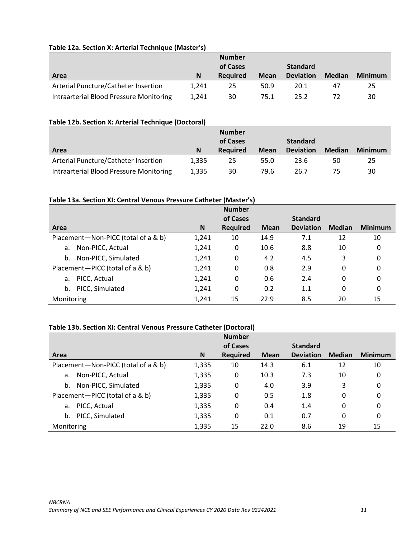| Area                                    | N     | <b>Number</b><br>of Cases<br><b>Required</b> | <b>Mean</b> | <b>Standard</b><br><b>Deviation</b> | <b>Median</b> | <b>Minimum</b> |
|-----------------------------------------|-------|----------------------------------------------|-------------|-------------------------------------|---------------|----------------|
| Arterial Puncture/Catheter Insertion    | 1.241 | 25                                           | 50.9        | 20.1                                | 47            | 25             |
| Intraarterial Blood Pressure Monitoring | 1.241 | 30                                           | 75.1        | 25.2                                |               | 30             |

## **Table 12a. Section X: Arterial Technique (Master's)**

## **Table 12b. Section X: Arterial Technique (Doctoral)**

|                                         |       | <b>Number</b><br>of Cases |             | <b>Standard</b>  |               |                |
|-----------------------------------------|-------|---------------------------|-------------|------------------|---------------|----------------|
| Area                                    | N     | <b>Required</b>           | <b>Mean</b> | <b>Deviation</b> | <b>Median</b> | <b>Minimum</b> |
| Arterial Puncture/Catheter Insertion    | 1.335 | 25                        | 55.0        | 23.6             | 50            | 25             |
| Intraarterial Blood Pressure Monitoring | 1.335 | 30                        | 79.6        | 26.7             | 75            | 30             |

## **Table 13a. Section XI: Central Venous Pressure Catheter (Master's)**

|                                     |       | <b>Number</b>   |             |                  |               |                |
|-------------------------------------|-------|-----------------|-------------|------------------|---------------|----------------|
|                                     |       | of Cases        |             | <b>Standard</b>  |               |                |
| Area                                | N     | <b>Required</b> | <b>Mean</b> | <b>Deviation</b> | <b>Median</b> | <b>Minimum</b> |
| Placement-Non-PICC (total of a & b) | 1,241 | 10              | 14.9        | 7.1              | 12            | 10             |
| Non-PICC, Actual<br>a.              | 1,241 | 0               | 10.6        | 8.8              | 10            | 0              |
| Non-PICC, Simulated<br>b.           | 1,241 | 0               | 4.2         | 4.5              | 3             | 0              |
| Placement-PICC (total of a & b)     | 1,241 | 0               | 0.8         | 2.9              | 0             | 0              |
| PICC, Actual<br>a.                  | 1,241 | 0               | 0.6         | 2.4              | 0             | 0              |
| PICC, Simulated<br>b.               | 1,241 | 0               | 0.2         | 1.1              | 0             | 0              |
| Monitoring                          | 1,241 | 15              | 22.9        | 8.5              | 20            | 15             |

## **Table 13b. Section XI: Central Venous Pressure Catheter (Doctoral)**

|                                     |       | <b>Number</b>   |             |                  |               |                |
|-------------------------------------|-------|-----------------|-------------|------------------|---------------|----------------|
|                                     |       | of Cases        |             | <b>Standard</b>  |               |                |
| Area                                | N     | <b>Required</b> | <b>Mean</b> | <b>Deviation</b> | <b>Median</b> | <b>Minimum</b> |
| Placement-Non-PICC (total of a & b) | 1,335 | 10              | 14.3        | 6.1              | 12            | 10             |
| Non-PICC, Actual<br>a.              | 1,335 | 0               | 10.3        | 7.3              | 10            | 0              |
| Non-PICC, Simulated<br>b.           | 1,335 | 0               | 4.0         | 3.9              | 3             | 0              |
| Placement-PICC (total of a & b)     | 1,335 | 0               | 0.5         | 1.8              | 0             | 0              |
| PICC, Actual<br>a.                  | 1,335 | 0               | 0.4         | 1.4              | 0             | 0              |
| PICC, Simulated<br>b.               | 1,335 | 0               | 0.1         | 0.7              | 0             | 0              |
| Monitoring                          | 1,335 | 15              | 22.0        | 8.6              | 19            | 15             |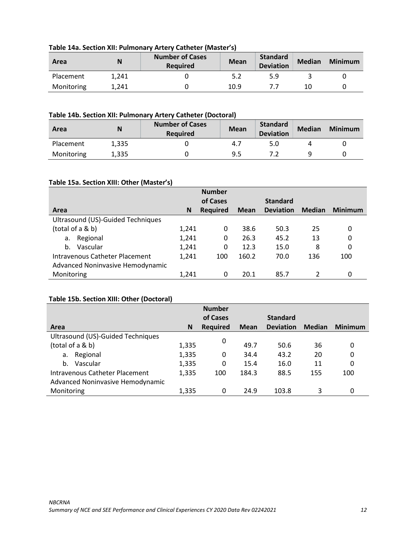| Area       | N     | <b>Number of Cases</b><br><b>Required</b> | <b>Mean</b> | Standard<br><b>Deviation</b> | <b>Median</b> | <b>Minimum</b> |
|------------|-------|-------------------------------------------|-------------|------------------------------|---------------|----------------|
| Placement  | 1.241 |                                           |             | 5.9                          |               |                |
| Monitoring | 1.241 |                                           | 10.9        |                              | 10            |                |

## **Table 14a. Section XII: Pulmonary Artery Catheter (Master's)**

## **Table 14b. Section XII: Pulmonary Artery Catheter (Doctoral)**

| Area       | N     | <b>Number of Cases</b><br><b>Required</b> | <b>Mean</b> | <b>Standard</b><br><b>Deviation</b> | <b>Median</b> | <b>Minimum</b> |
|------------|-------|-------------------------------------------|-------------|-------------------------------------|---------------|----------------|
| Placement  | 1.335 |                                           | 4.7         | 5.0                                 |               |                |
| Monitoring | 1.335 |                                           | 9.5         |                                     |               |                |

## **Table 15a. Section XIII: Other (Master's)**

|                                   |       | <b>Number</b>   |             |                  |               |                |
|-----------------------------------|-------|-----------------|-------------|------------------|---------------|----------------|
|                                   |       | of Cases        |             | <b>Standard</b>  |               |                |
| Area                              | N     | <b>Required</b> | <b>Mean</b> | <b>Deviation</b> | <b>Median</b> | <b>Minimum</b> |
| Ultrasound (US)-Guided Techniques |       |                 |             |                  |               |                |
| (total of a & b)                  | 1,241 | 0               | 38.6        | 50.3             | 25            | 0              |
| Regional<br>a.                    | 1,241 | 0               | 26.3        | 45.2             | 13            | 0              |
| Vascular<br>b.                    | 1,241 | 0               | 12.3        | 15.0             | 8             | 0              |
| Intravenous Catheter Placement    | 1,241 | 100             | 160.2       | 70.0             | 136           | 100            |
| Advanced Noninvasive Hemodynamic  |       |                 |             |                  |               |                |
| Monitoring                        | 1,241 | 0               | 20.1        | 85.7             |               | 0              |

## **Table 15b. Section XIII: Other (Doctoral)**

|                                       |       | <b>Number</b>   |             |                  |               |                |
|---------------------------------------|-------|-----------------|-------------|------------------|---------------|----------------|
|                                       |       | of Cases        |             | <b>Standard</b>  |               |                |
| Area                                  | N     | <b>Required</b> | <b>Mean</b> | <b>Deviation</b> | <b>Median</b> | <b>Minimum</b> |
| Ultrasound (US)-Guided Techniques     |       |                 |             |                  |               |                |
| (total of a & b)                      | 1,335 | 0               | 49.7        | 50.6             | 36            | 0              |
| Regional<br>a.                        | 1,335 | 0               | 34.4        | 43.2             | 20            | 0              |
| Vascular<br>b.                        | 1,335 | 0               | 15.4        | 16.0             | 11            | 0              |
| <b>Intravenous Catheter Placement</b> | 1,335 | 100             | 184.3       | 88.5             | 155           | 100            |
| Advanced Noninvasive Hemodynamic      |       |                 |             |                  |               |                |
| Monitoring                            | 1,335 | 0               | 24.9        | 103.8            | 3             | 0              |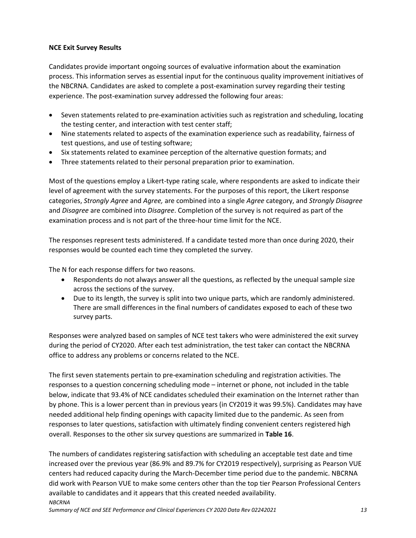## <span id="page-14-0"></span>**NCE Exit Survey Results**

Candidates provide important ongoing sources of evaluative information about the examination process. This information serves as essential input for the continuous quality improvement initiatives of the NBCRNA. Candidates are asked to complete a post-examination survey regarding their testing experience. The post-examination survey addressed the following four areas:

- Seven statements related to pre-examination activities such as registration and scheduling, locating the testing center, and interaction with test center staff;
- Nine statements related to aspects of the examination experience such as readability, fairness of test questions, and use of testing software;
- Six statements related to examinee perception of the alternative question formats; and
- Three statements related to their personal preparation prior to examination.

Most of the questions employ a Likert-type rating scale, where respondents are asked to indicate their level of agreement with the survey statements. For the purposes of this report, the Likert response categories, *Strongly Agree* and *Agree,* are combined into a single *Agree* category, and *Strongly Disagree* and *Disagree* are combined into *Disagree*. Completion of the survey is not required as part of the examination process and is not part of the three-hour time limit for the NCE.

The responses represent tests administered. If a candidate tested more than once during 2020, their responses would be counted each time they completed the survey.

The N for each response differs for two reasons.

- Respondents do not always answer all the questions, as reflected by the unequal sample size across the sections of the survey.
- Due to its length, the survey is split into two unique parts, which are randomly administered. There are small differences in the final numbers of candidates exposed to each of these two survey parts.

Responses were analyzed based on samples of NCE test takers who were administered the exit survey during the period of CY2020. After each test administration, the test taker can contact the NBCRNA office to address any problems or concerns related to the NCE.

The first seven statements pertain to pre-examination scheduling and registration activities. The responses to a question concerning scheduling mode – internet or phone, not included in the table below, indicate that 93.4% of NCE candidates scheduled their examination on the Internet rather than by phone. This is a lower percent than in previous years (in CY2019 it was 99.5%). Candidates may have needed additional help finding openings with capacity limited due to the pandemic. As seen from responses to later questions, satisfaction with ultimately finding convenient centers registered high overall. Responses to the other six survey questions are summarized in **Table 16**.

*NBCRNA* The numbers of candidates registering satisfaction with scheduling an acceptable test date and time increased over the previous year (86.9% and 89.7% for CY2019 respectively), surprising as Pearson VUE centers had reduced capacity during the March-December time period due to the pandemic. NBCRNA did work with Pearson VUE to make some centers other than the top tier Pearson Professional Centers available to candidates and it appears that this created needed availability.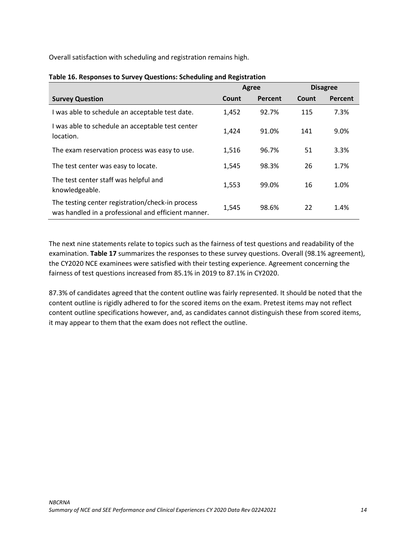Overall satisfaction with scheduling and registration remains high.

|                                                                                                         | Agree |         |       | <b>Disagree</b> |
|---------------------------------------------------------------------------------------------------------|-------|---------|-------|-----------------|
| <b>Survey Question</b>                                                                                  | Count | Percent | Count | <b>Percent</b>  |
| I was able to schedule an acceptable test date.                                                         | 1,452 | 92.7%   | 115   | 7.3%            |
| I was able to schedule an acceptable test center<br>location.                                           | 1,424 | 91.0%   | 141   | 9.0%            |
| The exam reservation process was easy to use.                                                           | 1,516 | 96.7%   | 51    | 3.3%            |
| The test center was easy to locate.                                                                     | 1,545 | 98.3%   | 26    | 1.7%            |
| The test center staff was helpful and<br>knowledgeable.                                                 | 1,553 | 99.0%   | 16    | 1.0%            |
| The testing center registration/check-in process<br>was handled in a professional and efficient manner. | 1,545 | 98.6%   | 22    | 1.4%            |

## **Table 16. Responses to Survey Questions: Scheduling and Registration**

The next nine statements relate to topics such as the fairness of test questions and readability of the examination. **Table 17** summarizes the responses to these survey questions. Overall (98.1% agreement), the CY2020 NCE examinees were satisfied with their testing experience. Agreement concerning the fairness of test questions increased from 85.1% in 2019 to 87.1% in CY2020.

87.3% of candidates agreed that the content outline was fairly represented. It should be noted that the content outline is rigidly adhered to for the scored items on the exam. Pretest items may not reflect content outline specifications however, and, as candidates cannot distinguish these from scored items, it may appear to them that the exam does not reflect the outline.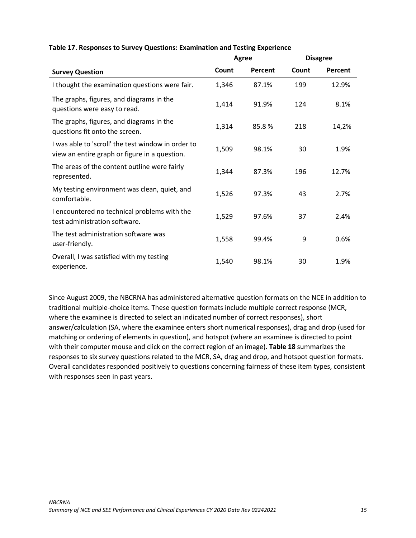|                                                                                                     | Agree |         |       | <b>Disagree</b> |
|-----------------------------------------------------------------------------------------------------|-------|---------|-------|-----------------|
| <b>Survey Question</b>                                                                              | Count | Percent | Count | Percent         |
| I thought the examination questions were fair.                                                      | 1,346 | 87.1%   | 199   | 12.9%           |
| The graphs, figures, and diagrams in the<br>questions were easy to read.                            | 1,414 | 91.9%   | 124   | 8.1%            |
| The graphs, figures, and diagrams in the<br>questions fit onto the screen.                          | 1,314 | 85.8%   | 218   | 14,2%           |
| I was able to 'scroll' the test window in order to<br>view an entire graph or figure in a question. | 1,509 | 98.1%   | 30    | 1.9%            |
| The areas of the content outline were fairly<br>represented.                                        | 1,344 | 87.3%   | 196   | 12.7%           |
| My testing environment was clean, quiet, and<br>comfortable.                                        | 1,526 | 97.3%   | 43    | 2.7%            |
| I encountered no technical problems with the<br>test administration software.                       | 1,529 | 97.6%   | 37    | 2.4%            |
| The test administration software was<br>user-friendly.                                              | 1,558 | 99.4%   | 9     | 0.6%            |
| Overall, I was satisfied with my testing<br>experience.                                             | 1,540 | 98.1%   | 30    | 1.9%            |

### **Table 17. Responses to Survey Questions: Examination and Testing Experience**

Since August 2009, the NBCRNA has administered alternative question formats on the NCE in addition to traditional multiple-choice items. These question formats include multiple correct response (MCR, where the examinee is directed to select an indicated number of correct responses), short answer/calculation (SA, where the examinee enters short numerical responses), drag and drop (used for matching or ordering of elements in question), and hotspot (where an examinee is directed to point with their computer mouse and click on the correct region of an image). **Table 18** summarizes the responses to six survey questions related to the MCR, SA, drag and drop, and hotspot question formats. Overall candidates responded positively to questions concerning fairness of these item types, consistent with responses seen in past years.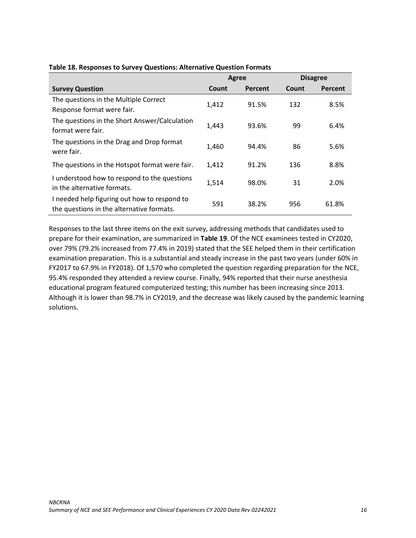|                                                                                           | Agree |         | <b>Disagree</b> |         |
|-------------------------------------------------------------------------------------------|-------|---------|-----------------|---------|
| <b>Survey Question</b>                                                                    | Count | Percent | Count           | Percent |
| The questions in the Multiple Correct<br>Response format were fair.                       | 1,412 | 91.5%   | 132             | 8.5%    |
| The questions in the Short Answer/Calculation<br>format were fair.                        | 1,443 | 93.6%   | 99              | 6.4%    |
| The questions in the Drag and Drop format<br>were fair.                                   | 1,460 | 94.4%   | 86              | 5.6%    |
| The questions in the Hotspot format were fair.                                            | 1,412 | 91.2%   | 136             | 8.8%    |
| I understood how to respond to the questions<br>in the alternative formats.               | 1,514 | 98.0%   | 31              | 2.0%    |
| I needed help figuring out how to respond to<br>the questions in the alternative formats. | 591   | 38.2%   | 956             | 61.8%   |

## **Table 18. Responses to Survey Questions: Alternative Question Formats**

Responses to the last three items on the exit survey, addressing methods that candidates used to prepare for their examination, are summarized in **Table 19**. Of the NCE examinees tested in CY2020, over 79% (79.2% increased from 77.4% in 2019) stated that the SEE helped them in their certification examination preparation. This is a substantial and steady increase in the past two years (under 60% in FY2017 to 67.9% in FY2018). Of 1,570 who completed the question regarding preparation for the NCE, 95.4% responded they attended a review course. Finally, 94% reported that their nurse anesthesia educational program featured computerized testing; this number has been increasing since 2013. Although it is lower than 98.7% in CY2019, and the decrease was likely caused by the pandemic learning solutions.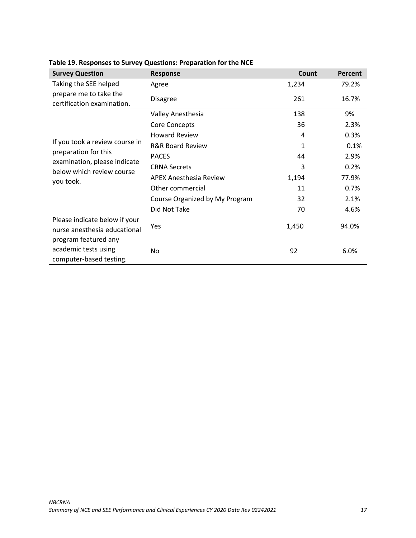<span id="page-18-0"></span>

| <b>Survey Question</b>                                                  | Response                       | Count | Percent |
|-------------------------------------------------------------------------|--------------------------------|-------|---------|
| Taking the SEE helped                                                   | Agree                          | 1,234 | 79.2%   |
| prepare me to take the<br>certification examination.                    | <b>Disagree</b>                | 261   | 16.7%   |
|                                                                         | Valley Anesthesia              | 138   | 9%      |
|                                                                         | Core Concepts                  | 36    | 2.3%    |
|                                                                         | <b>Howard Review</b>           | 4     | 0.3%    |
| If you took a review course in                                          | <b>R&amp;R Board Review</b>    | 1     | 0.1%    |
| preparation for this                                                    | <b>PACES</b>                   | 44    | 2.9%    |
| examination, please indicate<br>below which review course               | <b>CRNA Secrets</b>            | 3     | 0.2%    |
| you took.                                                               | <b>APEX Anesthesia Review</b>  | 1,194 | 77.9%   |
|                                                                         | Other commercial               | 11    | 0.7%    |
|                                                                         | Course Organized by My Program | 32    | 2.1%    |
|                                                                         | Did Not Take                   | 70    | 4.6%    |
| Please indicate below if your<br>nurse anesthesia educational           | Yes                            | 1,450 | 94.0%   |
| program featured any<br>academic tests using<br>computer-based testing. | No                             | 92    | 6.0%    |

# **Table 19. Responses to Survey Questions: Preparation for the NCE**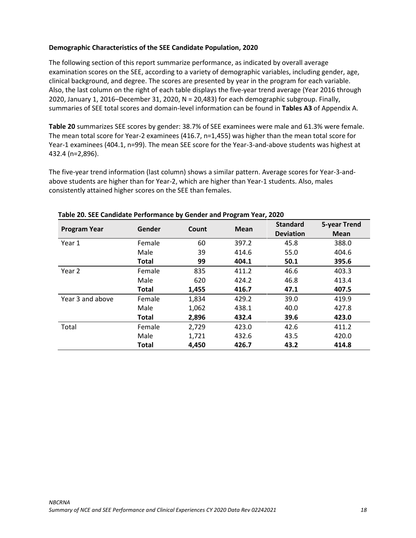## **Demographic Characteristics of the SEE Candidate Population, 2020**

The following section of this report summarize performance, as indicated by overall average examination scores on the SEE, according to a variety of demographic variables, including gender, age, clinical background, and degree. The scores are presented by year in the program for each variable. Also, the last column on the right of each table displays the five-year trend average (Year 2016 through 2020, January 1, 2016–December 31, 2020, N = 20,483) for each demographic subgroup. Finally, summaries of SEE total scores and domain-level information can be found in **Tables A3** of Appendix A.

**Table 20** summarizes SEE scores by gender: 38.7% of SEE examinees were male and 61.3% were female. The mean total score for Year-2 examinees (416.7, n=1,455) was higher than the mean total score for Year-1 examinees (404.1, n=99). The mean SEE score for the Year-3-and-above students was highest at 432.4 (n=2,896).

The five-year trend information (last column) shows a similar pattern. Average scores for Year-3-andabove students are higher than for Year-2, which are higher than Year-1 students. Also, males consistently attained higher scores on the SEE than females.

| <b>Program Year</b> | Gender       | Count | <b>Mean</b> | <b>Standard</b><br><b>Deviation</b> | <b>5-year Trend</b><br><b>Mean</b> |
|---------------------|--------------|-------|-------------|-------------------------------------|------------------------------------|
| Year 1              | Female       | 60    | 397.2       | 45.8                                | 388.0                              |
|                     | Male         | 39    | 414.6       | 55.0                                | 404.6                              |
|                     | <b>Total</b> | 99    | 404.1       | 50.1                                | 395.6                              |
| Year 2              | Female       | 835   | 411.2       | 46.6                                | 403.3                              |
|                     | Male         | 620   | 424.2       | 46.8                                | 413.4                              |
|                     | <b>Total</b> | 1,455 | 416.7       | 47.1                                | 407.5                              |
| Year 3 and above    | Female       | 1,834 | 429.2       | 39.0                                | 419.9                              |
|                     | Male         | 1,062 | 438.1       | 40.0                                | 427.8                              |
|                     | <b>Total</b> | 2,896 | 432.4       | 39.6                                | 423.0                              |
| Total               | Female       | 2,729 | 423.0       | 42.6                                | 411.2                              |
|                     | Male         | 1,721 | 432.6       | 43.5                                | 420.0                              |
|                     | <b>Total</b> | 4.450 | 426.7       | 43.2                                | 414.8                              |

## **Table 20. SEE Candidate Performance by Gender and Program Year, 2020**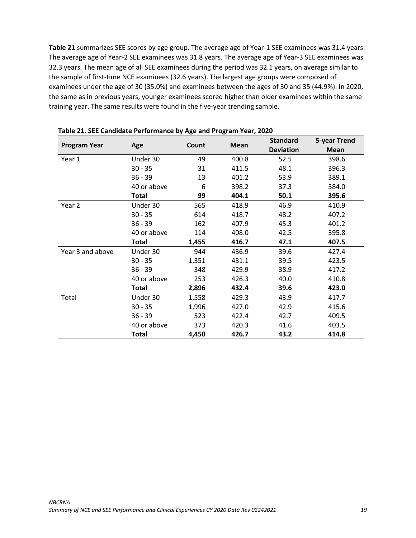**Table 21** summarizes SEE scores by age group. The average age of Year-1 SEE examinees was 31.4 years. The average age of Year-2 SEE examinees was 31.8 years. The average age of Year-3 SEE examinees was 32.3 years. The mean age of all SEE examinees during the period was 32.1 years, on average similar to the sample of first-time NCE examinees (32.6 years). The largest age groups were composed of examinees under the age of 30 (35.0%) and examinees between the ages of 30 and 35 (44.9%). In 2020, the same as in previous years, younger examinees scored higher than older examinees within the same training year. The same results were found in the five-year trending sample.

| <b>Program Year</b> | Age          | Count | <b>Mean</b> | <b>Standard</b>  | <b>5-year Trend</b> |
|---------------------|--------------|-------|-------------|------------------|---------------------|
|                     |              |       |             | <b>Deviation</b> | Mean                |
| Year 1              | Under 30     | 49    | 400.8       | 52.5             | 398.6               |
|                     | $30 - 35$    | 31    | 411.5       | 48.1             | 396.3               |
|                     | $36 - 39$    | 13    | 401.2       | 53.9             | 389.1               |
|                     | 40 or above  | 6     | 398.2       | 37.3             | 384.0               |
|                     | Total        | 99    | 404.1       | 50.1             | 395.6               |
| Year 2              | Under 30     | 565   | 418.9       | 46.9             | 410.9               |
|                     | $30 - 35$    | 614   | 418.7       | 48.2             | 407.2               |
|                     | $36 - 39$    | 162   | 407.9       | 45.3             | 401.2               |
|                     | 40 or above  | 114   | 408.0       | 42.5             | 395.8               |
|                     | <b>Total</b> | 1,455 | 416.7       | 47.1             | 407.5               |
| Year 3 and above    | Under 30     | 944   | 436.9       | 39.6             | 427.4               |
|                     | $30 - 35$    | 1,351 | 431.1       | 39.5             | 423.5               |
|                     | $36 - 39$    | 348   | 429.9       | 38.9             | 417.2               |
|                     | 40 or above  | 253   | 426.3       | 40.0             | 410.8               |
|                     | <b>Total</b> | 2,896 | 432.4       | 39.6             | 423.0               |
| Total               | Under 30     | 1,558 | 429.3       | 43.9             | 417.7               |
|                     | $30 - 35$    | 1,996 | 427.0       | 42.9             | 415.6               |
|                     | $36 - 39$    | 523   | 422.4       | 42.7             | 409.5               |
|                     | 40 or above  | 373   | 420.3       | 41.6             | 403.5               |
|                     | <b>Total</b> | 4,450 | 426.7       | 43.2             | 414.8               |

**Table 21. SEE Candidate Performance by Age and Program Year, 2020**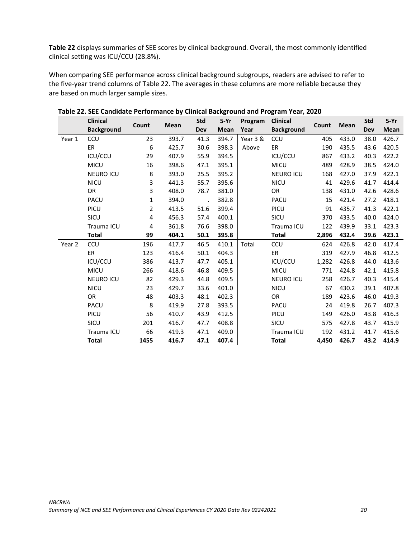**Table 22** displays summaries of SEE scores by clinical background. Overall, the most commonly identified clinical setting was ICU/CCU (28.8%).

When comparing SEE performance across clinical background subgroups, readers are advised to refer to the five-year trend columns of Table 22. The averages in these columns are more reliable because they are based on much larger sample sizes.

|        | <b>Clinical</b>   |       |             | <b>Std</b> | $5-Yr$ | Program  | <b>Clinical</b>   |       |       | <b>Std</b> | $5-Yr$      |
|--------|-------------------|-------|-------------|------------|--------|----------|-------------------|-------|-------|------------|-------------|
|        | <b>Background</b> | Count | <b>Mean</b> | Dev        | Mean   | Year     | <b>Background</b> | Count | Mean  | <b>Dev</b> | <b>Mean</b> |
| Year 1 | CCU               | 23    | 393.7       | 41.3       | 394.7  | Year 3 & | CCU               | 405   | 433.0 | 38.0       | 426.7       |
|        | ER                | 6     | 425.7       | 30.6       | 398.3  | Above    | ER                | 190   | 435.5 | 43.6       | 420.5       |
|        | ICU/CCU           | 29    | 407.9       | 55.9       | 394.5  |          | ICU/CCU           | 867   | 433.2 | 40.3       | 422.2       |
|        | <b>MICU</b>       | 16    | 398.6       | 47.1       | 395.1  |          | <b>MICU</b>       | 489   | 428.9 | 38.5       | 424.0       |
|        | <b>NEURO ICU</b>  | 8     | 393.0       | 25.5       | 395.2  |          | <b>NEURO ICU</b>  | 168   | 427.0 | 37.9       | 422.1       |
|        | <b>NICU</b>       | 3     | 441.3       | 55.7       | 395.6  |          | <b>NICU</b>       | 41    | 429.6 | 41.7       | 414.4       |
|        | OR                | 3     | 408.0       | 78.7       | 381.0  |          | OR                | 138   | 431.0 | 42.6       | 428.6       |
|        | PACU              | 1     | 394.0       |            | 382.8  |          | PACU              | 15    | 421.4 | 27.2       | 418.1       |
|        | PICU              | 2     | 413.5       | 51.6       | 399.4  |          | PICU              | 91    | 435.7 | 41.3       | 422.1       |
|        | SICU              | 4     | 456.3       | 57.4       | 400.1  |          | SICU              | 370   | 433.5 | 40.0       | 424.0       |
|        | Trauma ICU        | 4     | 361.8       | 76.6       | 398.0  |          | Trauma ICU        | 122   | 439.9 | 33.1       | 423.3       |
|        | <b>Total</b>      | 99    | 404.1       | 50.1       | 395.8  |          | <b>Total</b>      | 2,896 | 432.4 | 39.6       | 423.1       |
| Year 2 | CCU               | 196   | 417.7       | 46.5       | 410.1  | Total    | ccu               | 624   | 426.8 | 42.0       | 417.4       |
|        | ER                | 123   | 416.4       | 50.1       | 404.3  |          | ER                | 319   | 427.9 | 46.8       | 412.5       |
|        | ICU/CCU           | 386   | 413.7       | 47.7       | 405.1  |          | ICU/CCU           | 1,282 | 426.8 | 44.0       | 413.6       |
|        | <b>MICU</b>       | 266   | 418.6       | 46.8       | 409.5  |          | <b>MICU</b>       | 771   | 424.8 | 42.1       | 415.8       |
|        | <b>NEURO ICU</b>  | 82    | 429.3       | 44.8       | 409.5  |          | <b>NEURO ICU</b>  | 258   | 426.7 | 40.3       | 415.4       |
|        | <b>NICU</b>       | 23    | 429.7       | 33.6       | 401.0  |          | <b>NICU</b>       | 67    | 430.2 | 39.1       | 407.8       |
|        | OR                | 48    | 403.3       | 48.1       | 402.3  |          | OR                | 189   | 423.6 | 46.0       | 419.3       |
|        | PACU              | 8     | 419.9       | 27.8       | 393.5  |          | PACU              | 24    | 419.8 | 26.7       | 407.3       |
|        | PICU              | 56    | 410.7       | 43.9       | 412.5  |          | PICU              | 149   | 426.0 | 43.8       | 416.3       |
|        | SICU              | 201   | 416.7       | 47.7       | 408.8  |          | SICU              | 575   | 427.8 | 43.7       | 415.9       |
|        | Trauma ICU        | 66    | 419.3       | 47.1       | 409.0  |          | Trauma ICU        | 192   | 431.2 | 41.7       | 415.6       |
|        | <b>Total</b>      | 1455  | 416.7       | 47.1       | 407.4  |          | <b>Total</b>      | 4,450 | 426.7 | 43.2       | 414.9       |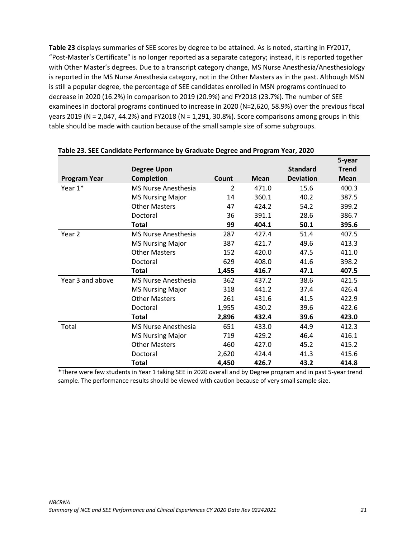**Table 23** displays summaries of SEE scores by degree to be attained. As is noted, starting in FY2017, "Post-Master's Certificate" is no longer reported as a separate category; instead, it is reported together with Other Master's degrees. Due to a transcript category change, MS Nurse Anesthesia/Anesthesiology is reported in the MS Nurse Anesthesia category, not in the Other Masters as in the past. Although MSN is still a popular degree, the percentage of SEE candidates enrolled in MSN programs continued to decrease in 2020 (16.2%) in comparison to 2019 (20.9%) and FY2018 (23.7%). The number of SEE examinees in doctoral programs continued to increase in 2020 (N=2,620, 58.9%) over the previous fiscal years 2019 (N = 2,047, 44.2%) and FY2018 (N = 1,291, 30.8%). Score comparisons among groups in this table should be made with caution because of the small sample size of some subgroups.

|                     |                            |       |             |                  | 5-year       |
|---------------------|----------------------------|-------|-------------|------------------|--------------|
|                     | <b>Degree Upon</b>         |       |             | <b>Standard</b>  | <b>Trend</b> |
| <b>Program Year</b> | Completion                 | Count | <b>Mean</b> | <b>Deviation</b> | <b>Mean</b>  |
| Year $1*$           | <b>MS Nurse Anesthesia</b> | 2     | 471.0       | 15.6             | 400.3        |
|                     | <b>MS Nursing Major</b>    | 14    | 360.1       | 40.2             | 387.5        |
|                     | <b>Other Masters</b>       | 47    | 424.2       | 54.2             | 399.2        |
|                     | Doctoral                   | 36    | 391.1       | 28.6             | 386.7        |
|                     | <b>Total</b>               | 99    | 404.1       | 50.1             | 395.6        |
| Year 2              | <b>MS Nurse Anesthesia</b> | 287   | 427.4       | 51.4             | 407.5        |
|                     | <b>MS Nursing Major</b>    | 387   | 421.7       | 49.6             | 413.3        |
|                     | <b>Other Masters</b>       | 152   | 420.0       | 47.5             | 411.0        |
|                     | Doctoral                   | 629   | 408.0       | 41.6             | 398.2        |
|                     | <b>Total</b>               | 1,455 | 416.7       | 47.1             | 407.5        |
| Year 3 and above    | <b>MS Nurse Anesthesia</b> | 362   | 437.2       | 38.6             | 421.5        |
|                     | <b>MS Nursing Major</b>    | 318   | 441.2       | 37.4             | 426.4        |
|                     | <b>Other Masters</b>       | 261   | 431.6       | 41.5             | 422.9        |
|                     | Doctoral                   | 1,955 | 430.2       | 39.6             | 422.6        |
|                     | Total                      | 2,896 | 432.4       | 39.6             | 423.0        |
| Total               | <b>MS Nurse Anesthesia</b> | 651   | 433.0       | 44.9             | 412.3        |
|                     | <b>MS Nursing Major</b>    | 719   | 429.2       | 46.4             | 416.1        |
|                     | <b>Other Masters</b>       | 460   | 427.0       | 45.2             | 415.2        |
|                     | Doctoral                   | 2,620 | 424.4       | 41.3             | 415.6        |
|                     | <b>Total</b>               | 4,450 | 426.7       | 43.2             | 414.8        |

#### **Table 23. SEE Candidate Performance by Graduate Degree and Program Year, 2020**

\*There were few students in Year 1 taking SEE in 2020 overall and by Degree program and in past 5-year trend sample. The performance results should be viewed with caution because of very small sample size.